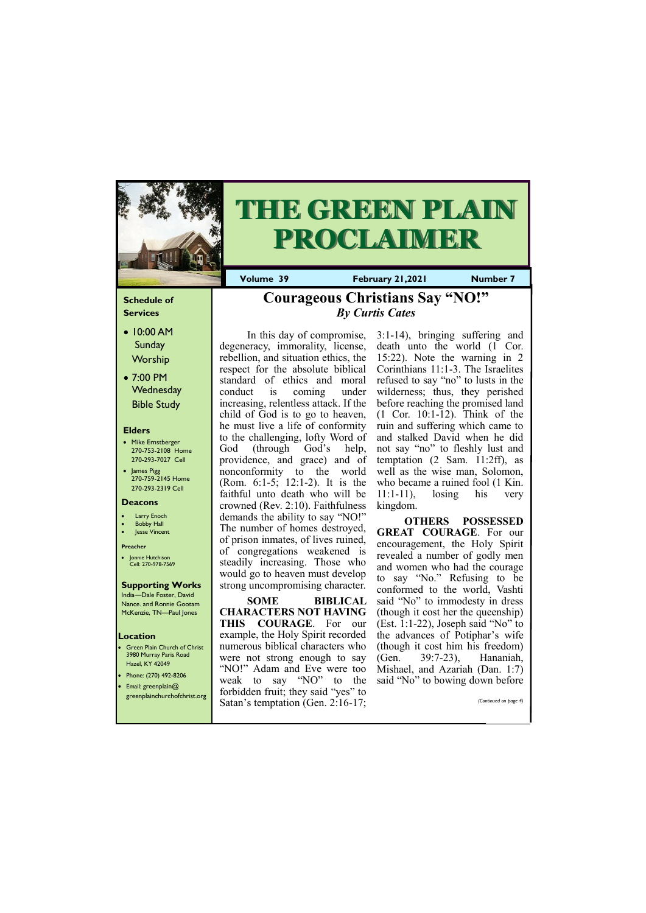### **Schedule of Services**

- 10:00 AM **Sunday** Worship
- 7:00 PM **Wednesday** Bible Study

#### **Elders**

- Mike Ernstberger 270-753-2108 Home 270-293-7027 Cell
- James Pigg 270-759-2145 Home 270-293-2319 Cell

- **Green Plain Church of Christ** 3980 Murray Paris Road Hazel, KY 42049 • Phone: (270) 492-8206
- Email: greenplain@
- 

#### **Location**



# **THE GREEN PLAIN PROCLAIMER**

**Volume 39 February 21,2021 Number 7** 

#### **Deacons**

- **Larry Enoch**
- **Bobby Hall**
- Jesse Vincent

#### **Preacher**

• Jonnie Hutchison Cell: 270-978-7569

#### **Supporting Works**

India—Dale Foster, David Nance. and Ronnie Gootam McKenzie, TN—Paul Jones

In this day of compromise, degeneracy, immorality, license, rebellion, and situation ethics, the respect for the absolute biblical standard of ethics and moral conduct is coming under increasing, relentless attack. If the child of God is to go to heaven, he must live a life of conformity to the challenging, lofty Word of God (through God's help, providence, and grace) and of nonconformity to the world (Rom. 6:1-5; 12:1-2). It is the faithful unto death who will be crowned (Rev. 2:10). Faithfulness demands the ability to say "NO!" The number of homes destroyed, of prison inmates, of lives ruined, of congregations weakened is steadily increasing. Those who would go to heaven must develop strong uncompromising character.

**SOME BIBLICAL CHARACTERS NOT HAVING THIS COURAGE**. For our example, the Holy Spirit recorded numerous biblical characters who were not strong enough to say "NO!" Adam and Eve were too weak to say "NO" to the

| $\bullet$ cinail. greenplanitus<br>greenplainchurchofchrist.org | forbidden fruit; they said "yes" to<br>Satan's temptation (Gen. 2:16-17; | (Continued on page 4) |
|-----------------------------------------------------------------|--------------------------------------------------------------------------|-----------------------|
|                                                                 |                                                                          |                       |

3:1-14), bringing suffering and death unto the world (1 Cor. 15:22). Note the warning in 2 Corinthians 11:1-3. The Israelites refused to say "no" to lusts in the wilderness; thus, they perished before reaching the promised land (1 Cor. 10:1-12). Think of the ruin and suffering which came to and stalked David when he did not say "no" to fleshly lust and temptation (2 Sam. 11:2ff), as well as the wise man, Solomon, who became a ruined fool (1 Kin. 11:1-11), losing his very kingdom.

**OTHERS POSSESSED GREAT COURAGE**. For our encouragement, the Holy Spirit revealed a number of godly men and women who had the courage to say "No." Refusing to be conformed to the world, Vashti said "No" to immodesty in dress (though it cost her the queenship) (Est. 1:1-22), Joseph said "No" to the advances of Potiphar's wife (though it cost him his freedom) (Gen. 39:7-23), Hananiah, Mishael, and Azariah (Dan. 1:7) said "No" to bowing down before

## **Courageous Christians Say "NO!"** *By Curtis Cates*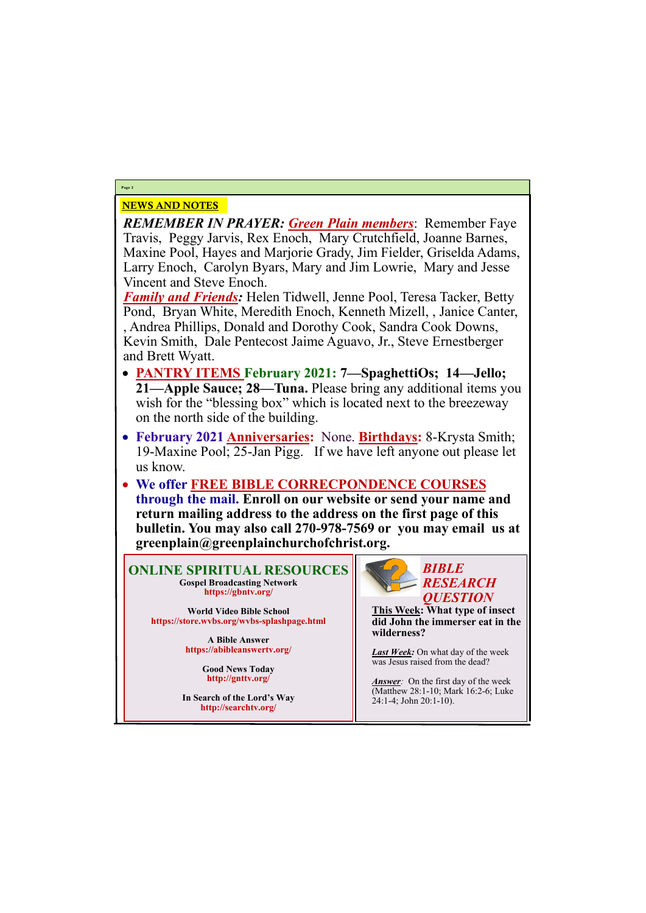# NEWS AND NOTES

*REMEMBER IN PRAYER: Green Plain members*: Remember Faye Travis, Peggy Jarvis, Rex Enoch, Mary Crutchfield, Joanne Barnes, Maxine Pool, Hayes and Marjorie Grady, Jim Fielder, Griselda Adams, Larry Enoch, Carolyn Byars, Mary and Jim Lowrie, Mary and Jesse Vincent and Steve Enoch.

*Family and Friends:* Helen Tidwell, Jenne Pool, Teresa Tacker, Betty Pond, Bryan White, Meredith Enoch, Kenneth Mizell, , Janice Canter, , Andrea Phillips, Donald and Dorothy Cook, Sandra Cook Downs, Kevin Smith, Dale Pentecost Jaime Aguavo, Jr., Steve Ernestberger and Brett Wyatt.

- **PANTRY ITEMS February 2021: 7—SpaghettiOs; 14—Jello; 21—Apple Sauce; 28—Tuna.** Please bring any additional items you wish for the "blessing box" which is located next to the breezeway on the north side of the building.
- **February 2021 Anniversaries:** None. **Birthdays:** 8-Krysta Smith; 19-Maxine Pool; 25-Jan Pigg. If we have left anyone out please let us know.
- **We offer FREE BIBLE CORRECPONDENCE COURSES through the mail. Enroll on our website or send your name and return mailing address to the address on the first page of this bulletin. You may also call 270-978-7569 or you may email us at greenplain@greenplainchurchofchrist.org.**

**Page 2**

**ONLINE SPIRITUAL RESOURCES Gospel Broadcasting Network https://gbntv.org/**

**World Video Bible School https://store.wvbs.org/wvbs-splashpage.html**

> **A Bible Answer https://abibleanswertv.org/**

> > **Good News Today http://gnttv.org/**

**In Search of the Lord's Way http://searchtv.org/**



**This Week: What type of insect did John the immerser eat in the wilderness?**

*Last Week:* On what day of the week was Jesus raised from the dead?

*Answer:* On the first day of the week (Matthew 28:1-10; Mark 16:2-6; Luke 24:1-4; John 20:1-10).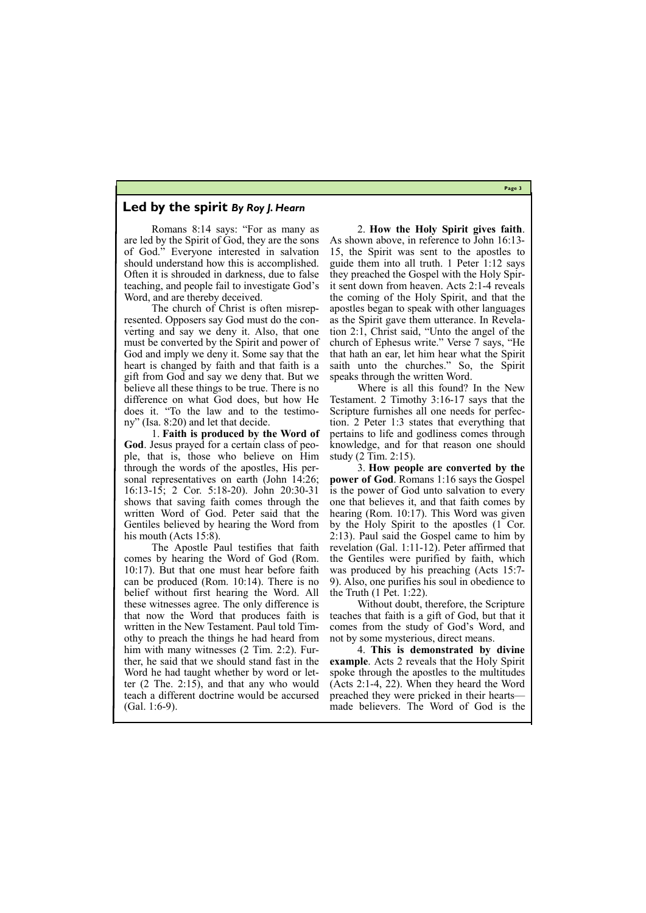**Page 3**

## **Led by the spirit** *By Roy J. Hearn*

Romans 8:14 says: "For as many as are led by the Spirit of God, they are the sons of God." Everyone interested in salvation should understand how this is accomplished. Often it is shrouded in darkness, due to false teaching, and people fail to investigate God's Word, and are thereby deceived.

1. **Faith is produced by the Word of God**. Jesus prayed for a certain class of people, that is, those who believe on Him through the words of the apostles, His personal representatives on earth (John 14:26; 16:13-15; 2 Cor. 5:18-20). John 20:30-31 shows that saving faith comes through the written Word of God. Peter said that the Gentiles believed by hearing the Word from his mouth (Acts 15:8).

The church of Christ is often misrepresented. Opposers say God must do the converting and say we deny it. Also, that one must be converted by the Spirit and power of God and imply we deny it. Some say that the heart is changed by faith and that faith is a gift from God and say we deny that. But we believe all these things to be true. There is no difference on what God does, but how He does it. "To the law and to the testimony" (Isa. 8:20) and let that decide.

The Apostle Paul testifies that faith comes by hearing the Word of God (Rom. 10:17). But that one must hear before faith can be produced (Rom. 10:14). There is no belief without first hearing the Word. All these witnesses agree. The only difference is that now the Word that produces faith is written in the New Testament. Paul told Timothy to preach the things he had heard from him with many witnesses (2 Tim. 2:2). Further, he said that we should stand fast in the Word he had taught whether by word or letter (2 The. 2:15), and that any who would

2. **How the Holy Spirit gives faith**. As shown above, in reference to John 16:13- 15, the Spirit was sent to the apostles to guide them into all truth. 1 Peter 1:12 says they preached the Gospel with the Holy Spirit sent down from heaven. Acts 2:1-4 reveals the coming of the Holy Spirit, and that the apostles began to speak with other languages as the Spirit gave them utterance. In Revelation 2:1, Christ said, "Unto the angel of the church of Ephesus write." Verse 7 says, "He that hath an ear, let him hear what the Spirit saith unto the churches." So, the Spirit speaks through the written Word.

Where is all this found? In the New Testament. 2 Timothy 3:16-17 says that the Scripture furnishes all one needs for perfection. 2 Peter 1:3 states that everything that pertains to life and godliness comes through knowledge, and for that reason one should study (2 Tim. 2:15).

teach a different doctrine would be accursed preached they were pricked in their hearts— (Gal. 1:6-9). made believers. The Word of God is the

3. **How people are converted by the power of God**. Romans 1:16 says the Gospel is the power of God unto salvation to every one that believes it, and that faith comes by hearing (Rom. 10:17). This Word was given by the Holy Spirit to the apostles (1 Cor. 2:13). Paul said the Gospel came to him by revelation (Gal. 1:11-12). Peter affirmed that the Gentiles were purified by faith, which was produced by his preaching (Acts 15:7- 9). Also, one purifies his soul in obedience to the Truth (1 Pet. 1:22).

Without doubt, therefore, the Scripture teaches that faith is a gift of God, but that it comes from the study of God's Word, and not by some mysterious, direct means.

4. **This is demonstrated by divine example**. Acts 2 reveals that the Holy Spirit spoke through the apostles to the multitudes (Acts 2:1-4, 22). When they heard the Word